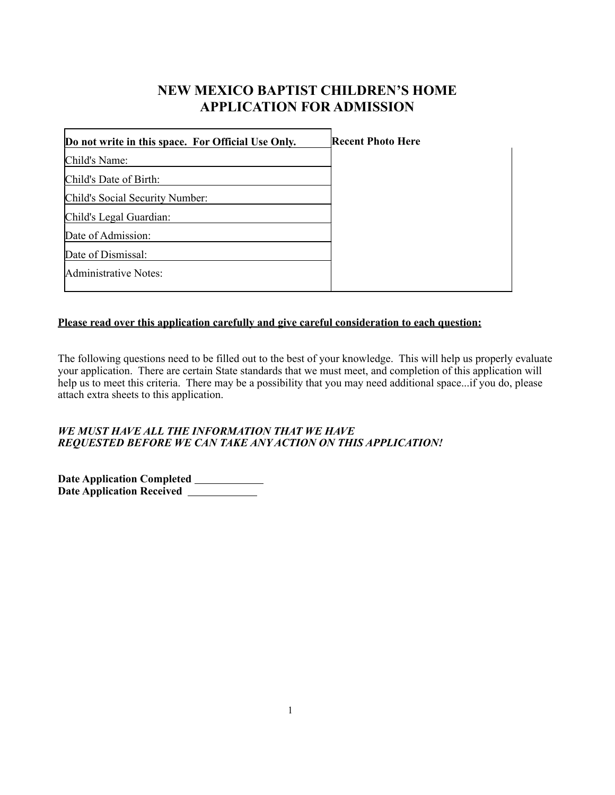# **NEW MEXICO BAPTIST CHILDREN'S HOME APPLICATION FOR ADMISSION**

| Do not write in this space. For Official Use Only. | <b>Recent Photo Here</b> |
|----------------------------------------------------|--------------------------|
| Child's Name:                                      |                          |
| Child's Date of Birth:                             |                          |
| Child's Social Security Number:                    |                          |
| Child's Legal Guardian:                            |                          |
| Date of Admission:                                 |                          |
| Date of Dismissal:                                 |                          |
| Administrative Notes:                              |                          |
|                                                    |                          |

# **Please read over this application carefully and give careful consideration to each question:**

The following questions need to be filled out to the best of your knowledge. This will help us properly evaluate your application. There are certain State standards that we must meet, and completion of this application will help us to meet this criteria. There may be a possibility that you may need additional space...if you do, please attach extra sheets to this application.

#### *WE MUST HAVE ALL THE INFORMATION THAT WE HAVE REQUESTED BEFORE WE CAN TAKE ANY ACTION ON THIS APPLICATION!*

**Date Application Completed Date Application Received**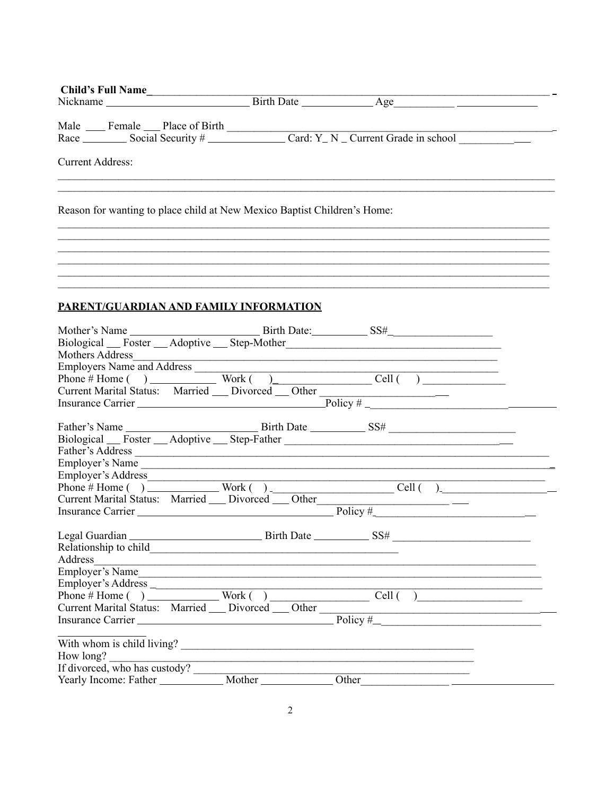| Child's Full Name                                                                |  |                                                         |
|----------------------------------------------------------------------------------|--|---------------------------------------------------------|
|                                                                                  |  |                                                         |
|                                                                                  |  |                                                         |
|                                                                                  |  |                                                         |
|                                                                                  |  |                                                         |
| <b>Current Address:</b>                                                          |  |                                                         |
|                                                                                  |  |                                                         |
|                                                                                  |  |                                                         |
| Reason for wanting to place child at New Mexico Baptist Children's Home:         |  |                                                         |
|                                                                                  |  |                                                         |
|                                                                                  |  |                                                         |
|                                                                                  |  |                                                         |
|                                                                                  |  |                                                         |
|                                                                                  |  |                                                         |
|                                                                                  |  |                                                         |
|                                                                                  |  |                                                         |
| PARENT/GUARDIAN AND FAMILY INFORMATION                                           |  |                                                         |
|                                                                                  |  |                                                         |
|                                                                                  |  |                                                         |
|                                                                                  |  |                                                         |
|                                                                                  |  |                                                         |
|                                                                                  |  |                                                         |
|                                                                                  |  |                                                         |
|                                                                                  |  | Current Marital Status: Married Divorced Other Policy # |
|                                                                                  |  |                                                         |
|                                                                                  |  |                                                         |
|                                                                                  |  |                                                         |
| Biological Foster Adoptive Step-Father                                           |  |                                                         |
|                                                                                  |  |                                                         |
|                                                                                  |  | Employer's Name                                         |
|                                                                                  |  |                                                         |
| Current Marital Status: Married __ Divorced __ Other ___________________________ |  |                                                         |
|                                                                                  |  |                                                         |
|                                                                                  |  |                                                         |
| Legal Guardian                                                                   |  |                                                         |
|                                                                                  |  |                                                         |
|                                                                                  |  |                                                         |
|                                                                                  |  |                                                         |
|                                                                                  |  | Employer's Name                                         |
|                                                                                  |  |                                                         |
|                                                                                  |  |                                                         |
|                                                                                  |  | Current Marital Status: Married Divorced Other Policy # |
|                                                                                  |  |                                                         |
|                                                                                  |  |                                                         |
| With whom is child living?<br>How long?                                          |  |                                                         |
|                                                                                  |  |                                                         |
|                                                                                  |  |                                                         |
|                                                                                  |  |                                                         |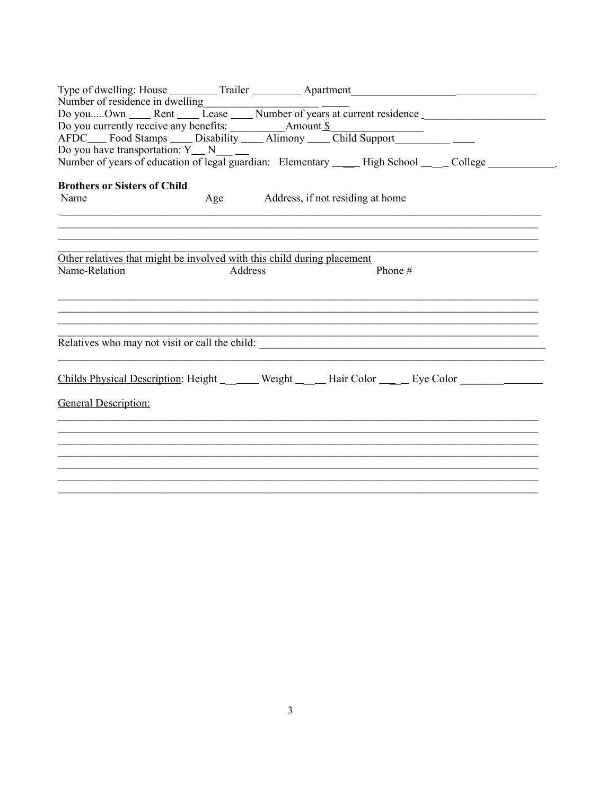| Number of residence in dwelling                                         |         |                                  |                                                                                                                                                  |
|-------------------------------------------------------------------------|---------|----------------------------------|--------------------------------------------------------------------------------------------------------------------------------------------------|
|                                                                         |         |                                  | Number of residence in dwelling<br>Do youOwn ______Rent ______Lease ______Number of years at current residence ____________________________      |
|                                                                         |         |                                  |                                                                                                                                                  |
|                                                                         |         |                                  |                                                                                                                                                  |
|                                                                         |         |                                  | Do you have transportation: Y __ N __ __<br>Number of years of education of legal guardian: Elementary _____ High School __ __ College _________ |
|                                                                         |         |                                  |                                                                                                                                                  |
|                                                                         |         |                                  |                                                                                                                                                  |
| <b>Brothers or Sisters of Child</b>                                     |         |                                  |                                                                                                                                                  |
| Name                                                                    | Age     | Address, if not residing at home |                                                                                                                                                  |
|                                                                         |         |                                  |                                                                                                                                                  |
|                                                                         |         |                                  |                                                                                                                                                  |
| Other relatives that might be involved with this child during placement |         |                                  |                                                                                                                                                  |
| Name-Relation                                                           | Address |                                  | Phone #                                                                                                                                          |
|                                                                         |         |                                  |                                                                                                                                                  |
|                                                                         |         |                                  |                                                                                                                                                  |
|                                                                         |         |                                  |                                                                                                                                                  |
|                                                                         |         |                                  |                                                                                                                                                  |
|                                                                         |         |                                  | Relatives who may not visit or call the child:                                                                                                   |
|                                                                         |         |                                  |                                                                                                                                                  |
|                                                                         |         |                                  |                                                                                                                                                  |
|                                                                         |         |                                  | Childs Physical Description: Height __ ____ Weight __ __ Hair Color __ __ Eye Color ___ __ __                                                    |
| <b>General Description:</b>                                             |         |                                  |                                                                                                                                                  |
|                                                                         |         |                                  |                                                                                                                                                  |
|                                                                         |         |                                  |                                                                                                                                                  |
|                                                                         |         |                                  |                                                                                                                                                  |
|                                                                         |         |                                  |                                                                                                                                                  |
|                                                                         |         |                                  |                                                                                                                                                  |
|                                                                         |         |                                  |                                                                                                                                                  |
|                                                                         |         |                                  |                                                                                                                                                  |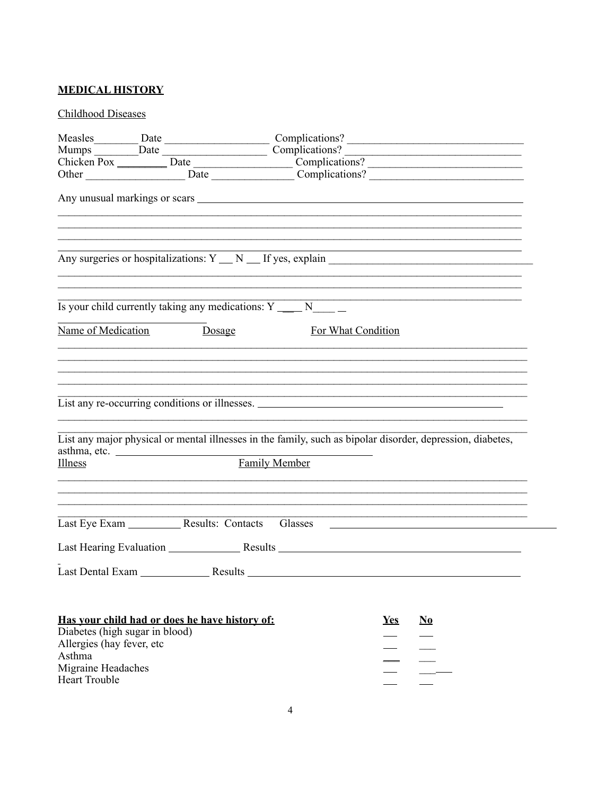# **MEDICAL HISTORY**

# **Childhood Diseases**

|                                                                                                                     |                                  |                                                                                                    | Mumps Date Date Complications?                                                                                                                                                                                               |            |                        |  |
|---------------------------------------------------------------------------------------------------------------------|----------------------------------|----------------------------------------------------------------------------------------------------|------------------------------------------------------------------------------------------------------------------------------------------------------------------------------------------------------------------------------|------------|------------------------|--|
|                                                                                                                     |                                  |                                                                                                    | Chicken Pox   Date  Date   Date   Date   Date   Date   Date   Date   Date   Date   Date   Date   Date   Date   Date   Date   Date   Date   Date   Date   Date   Date   Date   Date   Date   Date   Date   Date   Date   Date |            |                        |  |
|                                                                                                                     |                                  |                                                                                                    |                                                                                                                                                                                                                              |            |                        |  |
|                                                                                                                     |                                  |                                                                                                    |                                                                                                                                                                                                                              |            |                        |  |
|                                                                                                                     |                                  |                                                                                                    | Any surgeries or hospitalizations: Y _ N _ If yes, explain ______________________                                                                                                                                            |            |                        |  |
|                                                                                                                     |                                  | Is your child currently taking any medications: $Y_{\frac{1}{1-\epsilon}}N_{\frac{1}{1-\epsilon}}$ |                                                                                                                                                                                                                              |            |                        |  |
|                                                                                                                     | <b>Name of Medication</b> Dosage |                                                                                                    | For What Condition                                                                                                                                                                                                           |            |                        |  |
|                                                                                                                     |                                  |                                                                                                    | List any re-occurring conditions or illnesses.<br>List any major physical or mental illnesses in the family, such as bipolar disorder, depression, diabetes,                                                                 |            |                        |  |
| Illness                                                                                                             | asthma, etc.                     | <b>Family Member</b>                                                                               | ,我们也不会有什么。""我们的人,我们也不会有什么?""我们的人,我们也不会有什么?""我们的人,我们也不会有什么?""我们的人,我们也不会有什么?""我们的人                                                                                                                                             |            |                        |  |
|                                                                                                                     |                                  |                                                                                                    | Last Eye Exam ________________Results: Contacts Glasses _________________________                                                                                                                                            |            |                        |  |
|                                                                                                                     |                                  |                                                                                                    |                                                                                                                                                                                                                              |            |                        |  |
|                                                                                                                     |                                  |                                                                                                    |                                                                                                                                                                                                                              |            |                        |  |
| Diabetes (high sugar in blood)<br>Allergies (hay fever, etc<br>Asthma<br>Migraine Headaches<br><b>Heart Trouble</b> |                                  | Has your child had or does he have history of:                                                     |                                                                                                                                                                                                                              | <u>Yes</u> | $\mathbf{N}\mathbf{0}$ |  |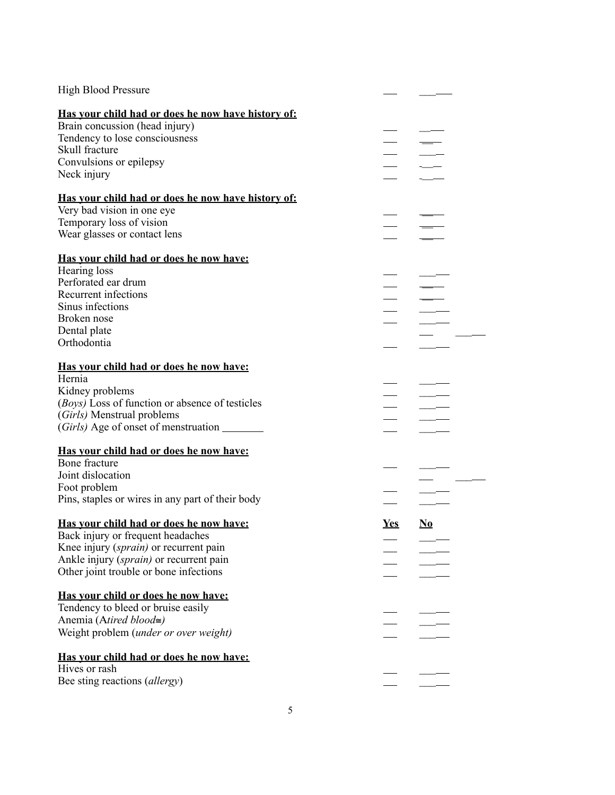| <b>High Blood Pressure</b>                         |            |                          |  |
|----------------------------------------------------|------------|--------------------------|--|
| Has your child had or does he now have history of: |            |                          |  |
| Brain concussion (head injury)                     |            |                          |  |
| Tendency to lose consciousness                     |            |                          |  |
| Skull fracture                                     |            |                          |  |
| Convulsions or epilepsy                            |            |                          |  |
| Neck injury                                        |            |                          |  |
| Has vour child had or does he now have history of: |            |                          |  |
| Very bad vision in one eye                         |            |                          |  |
| Temporary loss of vision                           |            |                          |  |
| Wear glasses or contact lens                       |            |                          |  |
| <u>Has vour child had or does he now have:</u>     |            |                          |  |
| Hearing loss                                       |            |                          |  |
| Perforated ear drum                                |            |                          |  |
| Recurrent infections                               |            |                          |  |
| Sinus infections                                   |            |                          |  |
| Broken nose                                        |            |                          |  |
| Dental plate                                       |            |                          |  |
| Orthodontia                                        |            |                          |  |
| <u>Has your child had or does he now have:</u>     |            |                          |  |
| Hernia                                             |            |                          |  |
| Kidney problems                                    |            |                          |  |
| (Boys) Loss of function or absence of testicles    |            |                          |  |
| (Girls) Menstrual problems                         |            |                          |  |
| (Girls) Age of onset of menstruation ________      |            |                          |  |
| Has your child had or does he now have:            |            |                          |  |
| Bone fracture                                      |            |                          |  |
| Joint dislocation                                  |            |                          |  |
| Foot problem                                       |            |                          |  |
| Pins, staples or wires in any part of their body   |            |                          |  |
| Has your child had or does he now have:            | <u>Yes</u> | $\underline{\mathbf{N}}$ |  |
| Back injury or frequent headaches                  |            |                          |  |
| Knee injury (sprain) or recurrent pain             |            |                          |  |
| Ankle injury (sprain) or recurrent pain            |            |                          |  |
| Other joint trouble or bone infections             |            |                          |  |
| Has your child or does he now have:                |            |                          |  |
| Tendency to bleed or bruise easily                 |            |                          |  |
| Anemia (Atired blood≅)                             |            |                          |  |
| Weight problem (under or over weight)              |            |                          |  |
| Has your child had or does he now have:            |            |                          |  |
| Hives or rash                                      |            |                          |  |
| Bee sting reactions (allergy)                      |            |                          |  |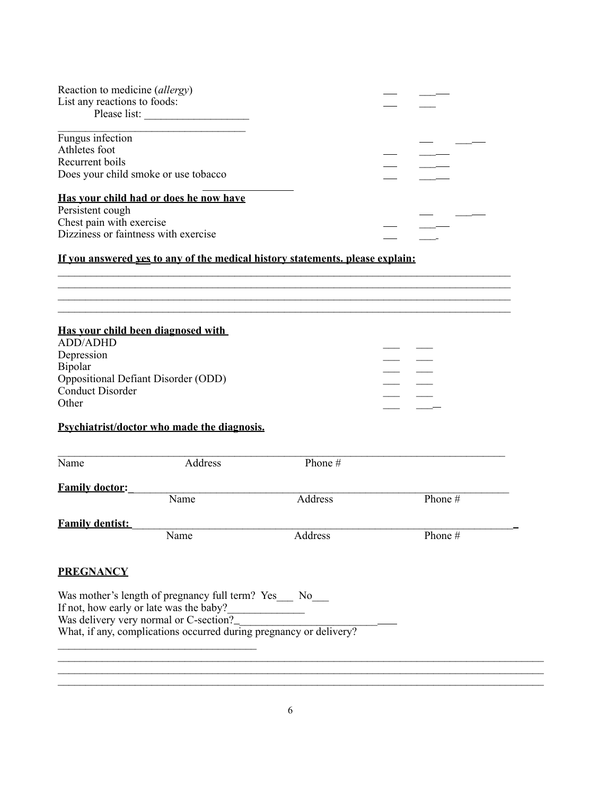| Reaction to medicine (allergy) |                                                                               |         |        |  |
|--------------------------------|-------------------------------------------------------------------------------|---------|--------|--|
| List any reactions to foods:   |                                                                               |         |        |  |
|                                | Please list:                                                                  |         |        |  |
| Fungus infection               |                                                                               |         |        |  |
| Athletes foot                  |                                                                               |         |        |  |
| Recurrent boils                |                                                                               |         |        |  |
|                                | Does your child smoke or use tobacco                                          |         |        |  |
|                                | Has your child had or does he now have                                        |         |        |  |
| Persistent cough               |                                                                               |         |        |  |
| Chest pain with exercise       |                                                                               |         |        |  |
|                                | Dizziness or faintness with exercise                                          |         |        |  |
|                                |                                                                               |         |        |  |
|                                | If you answered yes to any of the medical history statements. please explain: |         |        |  |
|                                |                                                                               |         |        |  |
|                                |                                                                               |         |        |  |
|                                |                                                                               |         |        |  |
|                                |                                                                               |         |        |  |
| <b>ADD/ADHD</b>                | Has your child been diagnosed with                                            |         |        |  |
|                                |                                                                               |         |        |  |
| Depression                     |                                                                               |         |        |  |
| Bipolar                        |                                                                               |         |        |  |
|                                | <b>Oppositional Defiant Disorder (ODD)</b>                                    |         |        |  |
| <b>Conduct Disorder</b>        |                                                                               |         |        |  |
| Other                          |                                                                               |         |        |  |
|                                | Psychiatrist/doctor who made the diagnosis.                                   |         |        |  |
|                                |                                                                               |         |        |  |
|                                |                                                                               |         |        |  |
| Name                           | Address                                                                       | Phone # |        |  |
|                                |                                                                               |         |        |  |
| <b>Family doctor:</b>          | Name                                                                          | Address | Phone# |  |
|                                |                                                                               |         |        |  |
| <b>Family dentist:</b>         |                                                                               |         |        |  |
|                                | Name                                                                          | Address | Phone# |  |
|                                |                                                                               |         |        |  |
| <b>PREGNANCY</b>               |                                                                               |         |        |  |
|                                |                                                                               |         |        |  |
|                                | Was mother's length of pregnancy full term? Yes __ No__                       |         |        |  |
|                                | If not, how early or late was the baby?                                       |         |        |  |
|                                | Was delivery very normal or C-section?______                                  |         |        |  |
|                                | What, if any, complications occurred during pregnancy or delivery?            |         |        |  |
|                                |                                                                               |         |        |  |
|                                |                                                                               |         |        |  |
|                                |                                                                               |         |        |  |

 $\mathcal{L}_\mathcal{L} = \{ \mathcal{L}_\mathcal{L} = \{ \mathcal{L}_\mathcal{L} = \{ \mathcal{L}_\mathcal{L} = \{ \mathcal{L}_\mathcal{L} = \{ \mathcal{L}_\mathcal{L} = \{ \mathcal{L}_\mathcal{L} = \{ \mathcal{L}_\mathcal{L} = \{ \mathcal{L}_\mathcal{L} = \{ \mathcal{L}_\mathcal{L} = \{ \mathcal{L}_\mathcal{L} = \{ \mathcal{L}_\mathcal{L} = \{ \mathcal{L}_\mathcal{L} = \{ \mathcal{L}_\mathcal{L} = \{ \mathcal{L}_\mathcal{$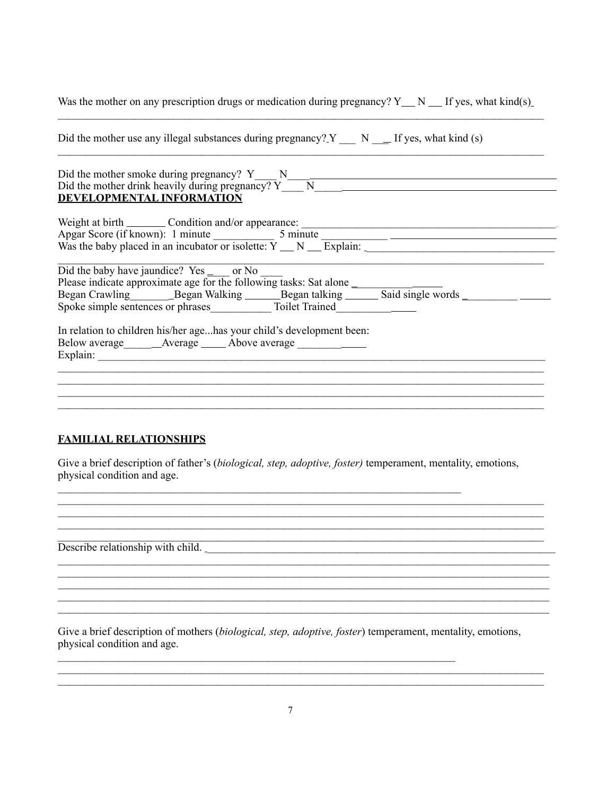| Was the mother on any prescription drugs or medication during pregnancy? $Y_N$ $N$ $\equiv$ If yes, what kind(s)                                                                                                                                                                    |
|-------------------------------------------------------------------------------------------------------------------------------------------------------------------------------------------------------------------------------------------------------------------------------------|
| Did the mother use any illegal substances during pregnancy? $Y_$ $N_$ $=$ If yes, what kind (s)                                                                                                                                                                                     |
| Did the mother smoke during pregnancy? $Y \longrightarrow N \longrightarrow N$<br>Did the mother drink heavily during pregnancy? $Y \longrightarrow N$<br>DEVELOPMENTAL INFORMATION                                                                                                 |
| Weight at birth _________ Condition and/or appearance: __________________________<br>Apgar Score (if known): 1 minute $\frac{5 \text{ minute}}{N \text{ m} \cdot \text{m} \cdot \text{m}}$ $\frac{5 \text{ minute}}{N \cdot \text{m} \cdot \text{m} \cdot \text{m} \cdot \text{m}}$ |
| Did the baby have jaundice? Yes _ or No                                                                                                                                                                                                                                             |
| In relation to children his/her agehas your child's development been:                                                                                                                                                                                                               |
|                                                                                                                                                                                                                                                                                     |

### **FAMILIAL RELATIONSHIPS**

Give a brief description of father's (biological, step, adoptive, foster) temperament, mentality, emotions, physical condition and age.

<u> 1980 - Johann John Stein, markin f</u>

<u> 1989 - Johann John Stein, mars an deus Amerikaansk kommunister (</u>

<u> 1989 - Johann Stoff, amerikansk politiker (d. 1989)</u>

<u> 1989 - Johann Stoff, amerikansk politiker (d. 1989)</u>

Describe relationship with child.

Give a brief description of mothers (biological, step, adoptive, foster) temperament, mentality, emotions, physical condition and age.

<u> 1989 - Johann Stoff, amerikansk politiker (\* 1908)</u> <u> 1989 - Johann Stoff, amerikansk politiker (\* 1908)</u>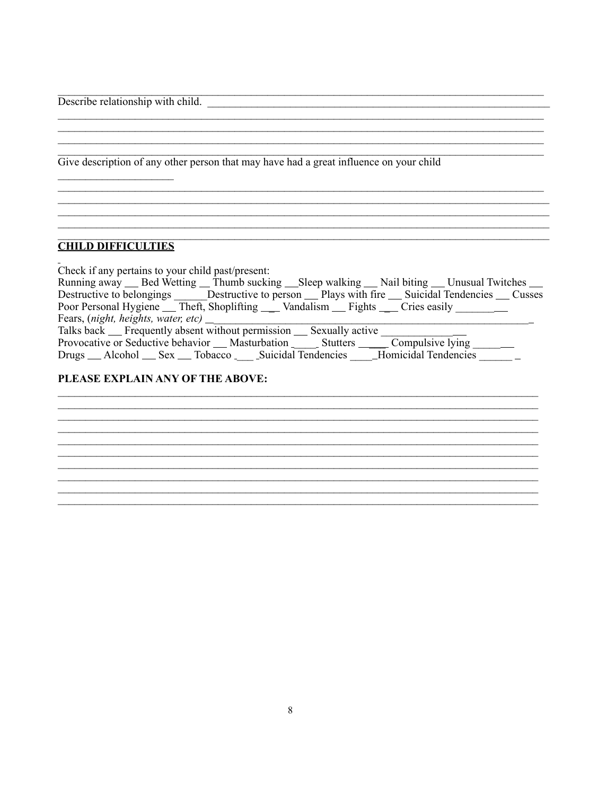Describe relationship with child.

Give description of any other person that may have had a great influence on your child

### **CHILD DIFFICULTIES**

 $\overline{a}$ 

| Check if any pertains to your child past/present:                                                         |
|-----------------------------------------------------------------------------------------------------------|
| Running away Seed Wetting Thumb sucking Sleep walking Nail biting Unusual Twitches                        |
| Destructive to belongings Destructive to person <u>perform</u> Plays with fire Suicidal Tendencies Cusses |
| Poor Personal Hygiene Theft, Shoplifting Vandalism Fights Cries easily                                    |
| Fears, (night, heights, water, etc) $\perp$                                                               |
| Talks back __ Frequently absent without permission __ Sexually active                                     |
| Provocative or Seductive behavior __ Masturbation _ _ _ Stutters _______ Compulsive lying ______          |
| Drugs __ Alcohol __ Sex __ Tobacco _ _ Suicidal Tendencies __ Homicidal Tendencies __ _                   |
|                                                                                                           |

<u> 1989 - Johann Stoff, amerikansk politiker (d. 1989)</u> 

#### PLEASE EXPLAIN ANY OF THE ABOVE:

<u> 1980 - John Stone, amerikansk politiker († 1900)</u> <u> 1989 - Johann Stoff, amerikansk politiker (d. 1989)</u>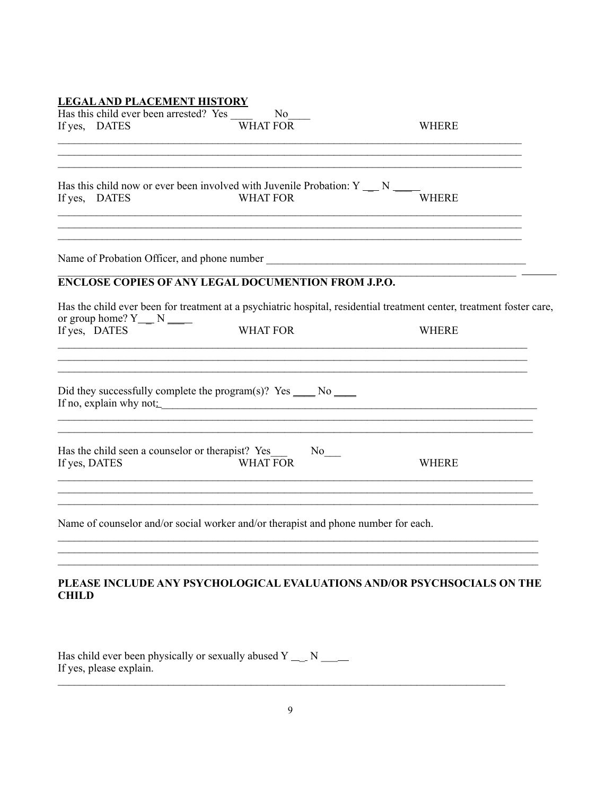# **LEGAL AND PLACEMENT HISTORY**

| Has this child ever been arrested? Yes _______<br>If yes, DATES | No<br>WHAT FOR                                                                                           | <b>WHERE</b>                                                                                                          |
|-----------------------------------------------------------------|----------------------------------------------------------------------------------------------------------|-----------------------------------------------------------------------------------------------------------------------|
|                                                                 |                                                                                                          |                                                                                                                       |
| If yes, DATES                                                   | Has this child now or ever been involved with Juvenile Probation: $Y = N$<br><b>WHAT FOR</b>             | <b>WHERE</b>                                                                                                          |
|                                                                 | ,我们也不会有一个人的人,我们也不会有一个人的人,我们也不会有一个人的人,我们也不会有一个人的人,我们也不会有一个人的人。""我们的人,我们也不会有一个人的人,我                        |                                                                                                                       |
|                                                                 | <b>ENCLOSE COPIES OF ANY LEGAL DOCUMENTION FROM J.P.O.</b>                                               |                                                                                                                       |
|                                                                 |                                                                                                          | Has the child ever been for treatment at a psychiatric hospital, residential treatment center, treatment foster care, |
| or group home? $Y_{\_\_}$ N $\_\_$<br>If yes, DATES             | <b>WHAT FOR</b>                                                                                          | <b>WHERE</b>                                                                                                          |
|                                                                 | Did they successfully complete the program(s)? Yes $\_\_\_\_\$ No $\_\_\_\_\$<br>If no, explain why not: |                                                                                                                       |
| If yes, DATES                                                   | Has the child seen a counselor or therapist? Yes<br>$No$ <sub>___</sub><br><b>WHAT FOR</b>               | <b>WHERE</b>                                                                                                          |
|                                                                 | Name of counselor and/or social worker and/or therapist and phone number for each.                       |                                                                                                                       |
|                                                                 |                                                                                                          |                                                                                                                       |

# PLEASE INCLUDE ANY PSYCHOLOGICAL EVALUATIONS AND/OR PSYCHSOCIALS ON THE **CHILD**

Has child ever been physically or sexually abused  $Y_{---} N_{---}$ If yes, please explain.

<u> 1989 - Jan Samuel Barbara, margaret eta idazlea (h. 1989).</u>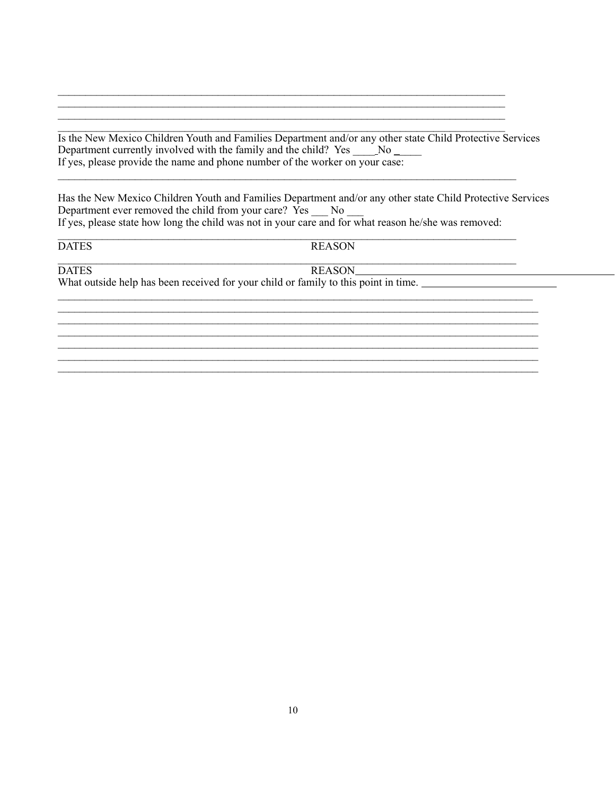Is the New Mexico Children Youth and Families Department and/or any other state Child Protective Services If yes, please provide the name and phone number of the worker on your case:

Has the New Mexico Children Youth and Families Department and/or any other state Child Protective Services Department ever removed the child from your care? Yes No If yes, please state how long the child was not in your care and for what reason he/she was removed:

**DATES** 

**REASON** 

**DATES** 

**REASON** 

<u> 1980 - Jan Barbara Barbara, m</u>

What outside help has been received for your child or family to this point in time.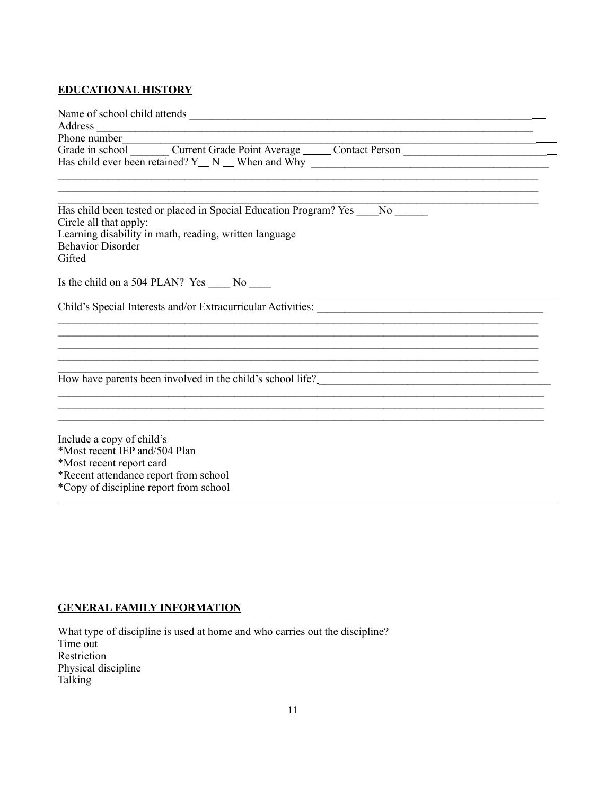# **EDUCATIONAL HISTORY**

| Address expression and the contract of the contract of the contract of the contract of the contract of the contract of the contract of the contract of the contract of the contract of the contract of the contract of the con<br>Phone number |
|------------------------------------------------------------------------------------------------------------------------------------------------------------------------------------------------------------------------------------------------|
| Grade in school Current Grade Point Average Contact Person Contact Designation of the Current Grade Point Average Contact Person<br>Has child ever been retained? Y_ N _ When and Why _______________________________                          |
| Has child been tested or placed in Special Education Program? Yes No<br>Circle all that apply:<br>Learning disability in math, reading, written language<br><b>Behavior Disorder</b><br>Gifted                                                 |
| Is the child on a 504 PLAN? Yes ______ No _____                                                                                                                                                                                                |
|                                                                                                                                                                                                                                                |
|                                                                                                                                                                                                                                                |
| How have parents been involved in the child's school life?<br><u>Flow</u> have parents been involved in the child's school life?                                                                                                               |
| Include a copy of child's                                                                                                                                                                                                                      |
| *Most recent IEP and/504 Plan<br>*Most recent report card<br>*Recent attendance report from school                                                                                                                                             |
| *Copy of discipline report from school                                                                                                                                                                                                         |

# **GENERAL FAMILY INFORMATION**

What type of discipline is used at home and who carries out the discipline? Time out Restriction Physical discipline Talking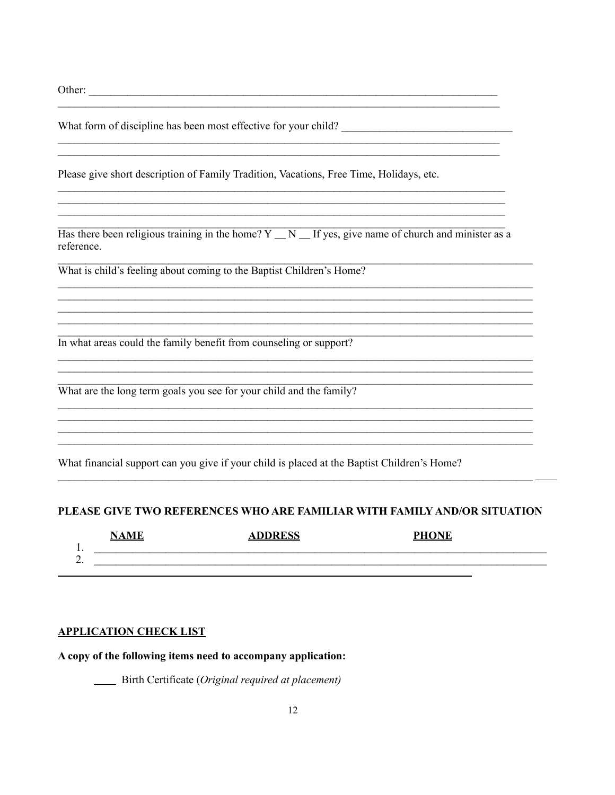Other:

Please give short description of Family Tradition, Vacations, Free Time, Holidays, etc.

Has there been religious training in the home?  $Y \_ N \_$  If yes, give name of church and minister as a reference.

<u> 1989 - Johann Stoff, amerikansk politiker (d. 1989)</u>

 $\overline{\phantom{a}}$ 

What is child's feeling about coming to the Baptist Children's Home?

In what areas could the family benefit from counseling or support?

What are the long term goals you see for your child and the family?

What financial support can you give if your child is placed at the Baptist Children's Home?

#### PLEASE GIVE TWO REFERENCES WHO ARE FAMILIAR WITH FAMILY AND/OR SITUATION

|         | <b>NAME</b> | A DDRESS<br><u>Address</u> | <b>DIIANE</b> |
|---------|-------------|----------------------------|---------------|
| . .     |             |                            |               |
| ∼<br>∸. |             |                            |               |
|         |             |                            |               |

#### **APPLICATION CHECK LIST**

A copy of the following items need to accompany application:

Birth Certificate (Original required at placement)